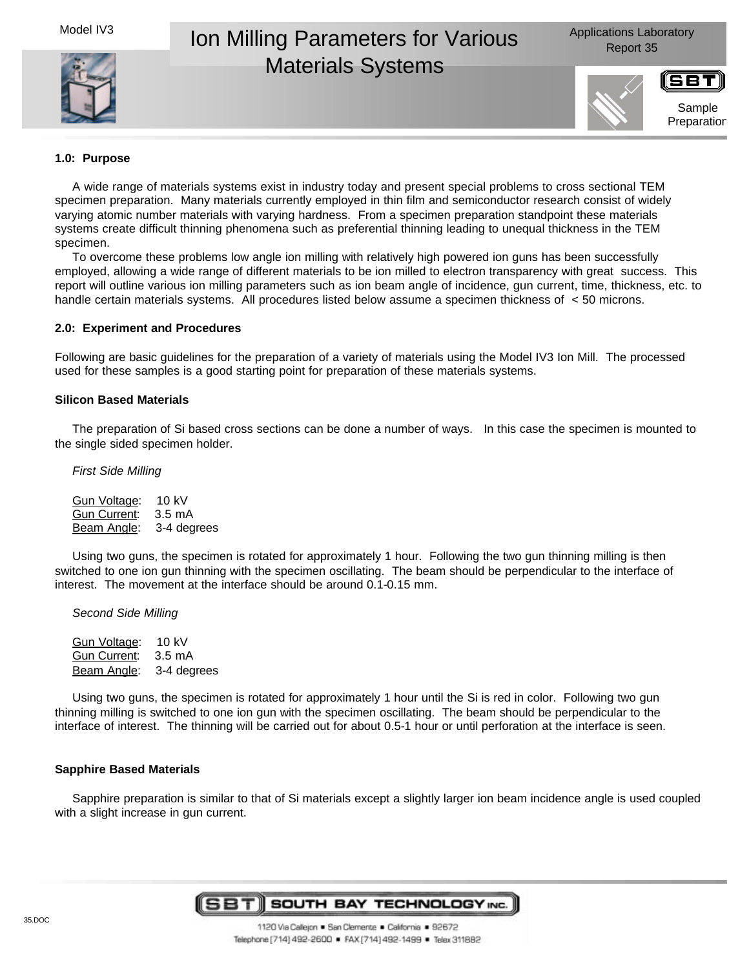Model IV3



# Ion Milling Parameters for Various Materials Systems



Sample Preparation

# **1.0: Purpose**

A wide range of materials systems exist in industry today and present special problems to cross sectional TEM specimen preparation. Many materials currently employed in thin film and semiconductor research consist of widely varying atomic number materials with varying hardness. From a specimen preparation standpoint these materials systems create difficult thinning phenomena such as preferential thinning leading to unequal thickness in the TEM specimen.

To overcome these problems low angle ion milling with relatively high powered ion guns has been successfully employed, allowing a wide range of different materials to be ion milled to electron transparency with great success. This report will outline various ion milling parameters such as ion beam angle of incidence, gun current, time, thickness, etc. to handle certain materials systems. All procedures listed below assume a specimen thickness of < 50 microns.

# **2.0: Experiment and Procedures**

Following are basic guidelines for the preparation of a variety of materials using the Model IV3 Ion Mill. The processed used for these samples is a good starting point for preparation of these materials systems.

# **Silicon Based Materials**

The preparation of Si based cross sections can be done a number of ways. In this case the specimen is mounted to the single sided specimen holder.

*First Side Milling*

| Gun Voltage:        | 10 kV            |
|---------------------|------------------|
| <b>Gun Current:</b> | $3.5 \text{ mA}$ |
| Beam Angle:         | 3-4 degrees      |

Using two guns, the specimen is rotated for approximately 1 hour. Following the two gun thinning milling is then switched to one ion gun thinning with the specimen oscillating. The beam should be perpendicular to the interface of interest. The movement at the interface should be around 0.1-0.15 mm.

*Second Side Milling*

Gun Voltage: 10 kV Gun Current: 3.5 mA Beam Angle: 3-4 degrees

Using two guns, the specimen is rotated for approximately 1 hour until the Si is red in color. Following two gun thinning milling is switched to one ion gun with the specimen oscillating. The beam should be perpendicular to the interface of interest. The thinning will be carried out for about 0.5-1 hour or until perforation at the interface is seen.

## **Sapphire Based Materials**

Sapphire preparation is similar to that of Si materials except a slightly larger ion beam incidence angle is used coupled with a slight increase in gun current.